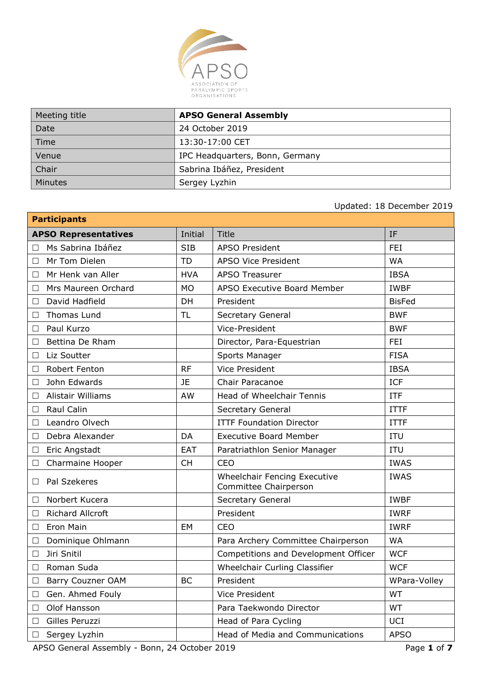

| Meeting title | <b>APSO General Assembly</b>    |
|---------------|---------------------------------|
| Date          | 24 October 2019                 |
| Time          | 13:30-17:00 CET                 |
| Venue         | IPC Headquarters, Bonn, Germany |
| <b>Chair</b>  | Sabrina Ibáñez, President       |
| Minutes       | Sergey Lyzhin                   |

# Updated: 18 December 2019

| <b>Participants</b>                           |            |                                                       |               |
|-----------------------------------------------|------------|-------------------------------------------------------|---------------|
| <b>APSO Representatives</b>                   | Initial    | <b>Title</b>                                          | IF            |
| Ms Sabrina Ibáñez<br>П                        | <b>SIB</b> | <b>APSO President</b>                                 | <b>FEI</b>    |
| Mr Tom Dielen<br>□                            | <b>TD</b>  | <b>APSO Vice President</b>                            | <b>WA</b>     |
| Mr Henk van Aller<br>$\Box$                   | <b>HVA</b> | <b>APSO Treasurer</b>                                 | <b>IBSA</b>   |
| Mrs Maureen Orchard<br>$\Box$                 | <b>MO</b>  | <b>APSO Executive Board Member</b>                    | <b>IWBF</b>   |
| David Hadfield<br>$\Box$                      | DH         | President                                             | <b>BisFed</b> |
| Thomas Lund<br>$\Box$                         | TL         | Secretary General                                     | <b>BWF</b>    |
| Paul Kurzo<br>$\Box$                          |            | Vice-President                                        | <b>BWF</b>    |
| Bettina De Rham<br>$\Box$                     |            | Director, Para-Equestrian                             | <b>FEI</b>    |
| Liz Soutter<br>$\Box$                         |            | Sports Manager                                        | <b>FISA</b>   |
| Robert Fenton<br>$\Box$                       | <b>RF</b>  | <b>Vice President</b>                                 | <b>IBSA</b>   |
| John Edwards<br>□                             | <b>JE</b>  | Chair Paracanoe                                       | <b>ICF</b>    |
| Alistair Williams<br>$\overline{\phantom{a}}$ | AW         | Head of Wheelchair Tennis                             | <b>ITF</b>    |
| Raul Calin<br>$\Box$                          |            | Secretary General                                     | <b>ITTF</b>   |
| Leandro Olvech<br>$\Box$                      |            | <b>ITTF Foundation Director</b>                       | <b>ITTF</b>   |
| Debra Alexander<br>□                          | DA         | <b>Executive Board Member</b>                         | <b>ITU</b>    |
| Eric Angstadt<br>$\Box$                       | <b>EAT</b> | Paratriathlon Senior Manager                          | <b>ITU</b>    |
| Charmaine Hooper<br>$\Box$                    | <b>CH</b>  | <b>CEO</b>                                            | <b>IWAS</b>   |
| Pal Szekeres<br>$\Box$                        |            | Wheelchair Fencing Executive<br>Committee Chairperson | <b>IWAS</b>   |
| Norbert Kucera<br>□                           |            | Secretary General                                     | <b>IWBF</b>   |
| <b>Richard Allcroft</b><br>$\Box$             |            | President                                             | <b>IWRF</b>   |
| Eron Main<br>$\Box$                           | EM         | <b>CEO</b>                                            | <b>IWRF</b>   |
| Dominique Ohlmann<br>$\Box$                   |            | Para Archery Committee Chairperson                    | <b>WA</b>     |
| Jiri Snitil<br>$\Box$                         |            | Competitions and Development Officer                  | <b>WCF</b>    |
| Roman Suda<br>$\Box$                          |            | Wheelchair Curling Classifier                         | <b>WCF</b>    |
| <b>Barry Couzner OAM</b>                      | BC         | President                                             | WPara-Volley  |
| Gen. Ahmed Fouly<br>$\Box$                    |            | <b>Vice President</b>                                 | WT            |
| Olof Hansson<br>$\Box$                        |            | Para Taekwondo Director                               | <b>WT</b>     |
| Gilles Peruzzi<br>$\Box$                      |            | Head of Para Cycling                                  | UCI           |
| Sergey Lyzhin<br>$\Box$                       |            | Head of Media and Communications                      | <b>APSO</b>   |

APSO General Assembly - Bonn, 24 October 2019 Page **1** of **7**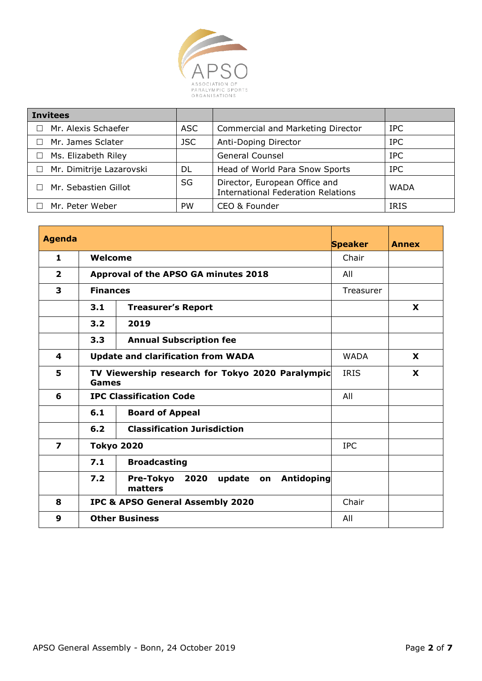

| <b>Invitees</b>                    |            |                                                                            |             |
|------------------------------------|------------|----------------------------------------------------------------------------|-------------|
| Mr. Alexis Schaefer                | ASC        | Commercial and Marketing Director                                          | IPC.        |
| □ Mr. James Sclater                | <b>JSC</b> | Anti-Doping Director                                                       | <b>IPC</b>  |
| Ms. Elizabeth Riley<br>$\Box$      |            | <b>General Counsel</b>                                                     | <b>IPC</b>  |
| Mr. Dimitrije Lazarovski<br>$\Box$ | DL         | Head of World Para Snow Sports                                             | <b>IPC</b>  |
| Mr. Sebastien Gillot               | SG         | Director, European Office and<br><b>International Federation Relations</b> | <b>WADA</b> |
| Mr. Peter Weber                    | <b>PW</b>  | CEO & Founder                                                              | <b>IRIS</b> |

| <b>Agenda</b>           |                                                                               |                                                                          | <b>Speaker</b> | <b>Annex</b> |
|-------------------------|-------------------------------------------------------------------------------|--------------------------------------------------------------------------|----------------|--------------|
| 1                       | Welcome                                                                       |                                                                          | Chair          |              |
| $\overline{2}$          |                                                                               | Approval of the APSO GA minutes 2018                                     | All            |              |
| 3                       | <b>Finances</b>                                                               |                                                                          | Treasurer      |              |
|                         | 3.1                                                                           | <b>Treasurer's Report</b>                                                |                | <b>X</b>     |
|                         | 3.2                                                                           | 2019                                                                     |                |              |
|                         | 3.3                                                                           | <b>Annual Subscription fee</b>                                           |                |              |
| 4                       | <b>Update and clarification from WADA</b><br><b>WADA</b>                      |                                                                          |                | <b>X</b>     |
| 5                       | TV Viewership research for Tokyo 2020 Paralympic<br><b>IRIS</b><br>X<br>Games |                                                                          |                |              |
| 6                       |                                                                               | <b>IPC Classification Code</b>                                           | All            |              |
|                         | 6.1                                                                           | <b>Board of Appeal</b>                                                   |                |              |
|                         | 6.2                                                                           | <b>Classification Jurisdiction</b>                                       |                |              |
| $\overline{\mathbf{z}}$ | <b>Tokyo 2020</b><br><b>IPC</b>                                               |                                                                          |                |              |
|                         | 7.1                                                                           | <b>Broadcasting</b>                                                      |                |              |
|                         | 7.2                                                                           | <b>Pre-Tokyo</b><br>2020<br><b>Antidoping</b><br>update<br>on<br>matters |                |              |
| 8                       |                                                                               | <b>IPC &amp; APSO General Assembly 2020</b>                              | Chair          |              |
| 9                       |                                                                               | <b>Other Business</b>                                                    | All            |              |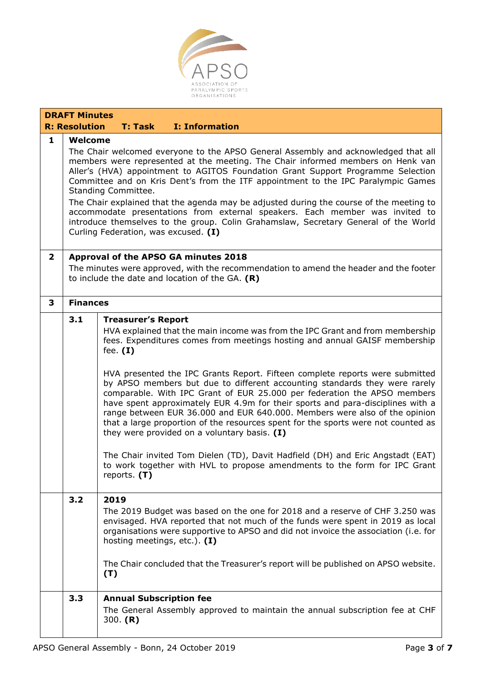

|              | <b>DRAFT Minutes</b>                                                                                                                                                                                                                                                                                                                                                                                                                                                                                                                                                                                                                                                                       |                                                                                                                                                                                                                                                                                                                                                                                                                                                                                                                                                                                                                                                                                                                                                                                                                                                                                                                                          |  |  |  |  |
|--------------|--------------------------------------------------------------------------------------------------------------------------------------------------------------------------------------------------------------------------------------------------------------------------------------------------------------------------------------------------------------------------------------------------------------------------------------------------------------------------------------------------------------------------------------------------------------------------------------------------------------------------------------------------------------------------------------------|------------------------------------------------------------------------------------------------------------------------------------------------------------------------------------------------------------------------------------------------------------------------------------------------------------------------------------------------------------------------------------------------------------------------------------------------------------------------------------------------------------------------------------------------------------------------------------------------------------------------------------------------------------------------------------------------------------------------------------------------------------------------------------------------------------------------------------------------------------------------------------------------------------------------------------------|--|--|--|--|
|              | <b>R: Resolution</b><br><b>I: Information</b><br><b>T: Task</b>                                                                                                                                                                                                                                                                                                                                                                                                                                                                                                                                                                                                                            |                                                                                                                                                                                                                                                                                                                                                                                                                                                                                                                                                                                                                                                                                                                                                                                                                                                                                                                                          |  |  |  |  |
| $\mathbf{1}$ | Welcome<br>The Chair welcomed everyone to the APSO General Assembly and acknowledged that all<br>members were represented at the meeting. The Chair informed members on Henk van<br>Aller's (HVA) appointment to AGITOS Foundation Grant Support Programme Selection<br>Committee and on Kris Dent's from the ITF appointment to the IPC Paralympic Games<br>Standing Committee.<br>The Chair explained that the agenda may be adjusted during the course of the meeting to<br>accommodate presentations from external speakers. Each member was invited to<br>introduce themselves to the group. Colin Grahamslaw, Secretary General of the World<br>Curling Federation, was excused. (I) |                                                                                                                                                                                                                                                                                                                                                                                                                                                                                                                                                                                                                                                                                                                                                                                                                                                                                                                                          |  |  |  |  |
| $\mathbf{2}$ | Approval of the APSO GA minutes 2018<br>The minutes were approved, with the recommendation to amend the header and the footer<br>to include the date and location of the GA. $(R)$                                                                                                                                                                                                                                                                                                                                                                                                                                                                                                         |                                                                                                                                                                                                                                                                                                                                                                                                                                                                                                                                                                                                                                                                                                                                                                                                                                                                                                                                          |  |  |  |  |
| 3            | <b>Finances</b>                                                                                                                                                                                                                                                                                                                                                                                                                                                                                                                                                                                                                                                                            |                                                                                                                                                                                                                                                                                                                                                                                                                                                                                                                                                                                                                                                                                                                                                                                                                                                                                                                                          |  |  |  |  |
|              | 3.1                                                                                                                                                                                                                                                                                                                                                                                                                                                                                                                                                                                                                                                                                        | <b>Treasurer's Report</b><br>HVA explained that the main income was from the IPC Grant and from membership<br>fees. Expenditures comes from meetings hosting and annual GAISF membership<br>fee. $(I)$<br>HVA presented the IPC Grants Report. Fifteen complete reports were submitted<br>by APSO members but due to different accounting standards they were rarely<br>comparable. With IPC Grant of EUR 25.000 per federation the APSO members<br>have spent approximately EUR 4.9m for their sports and para-disciplines with a<br>range between EUR 36.000 and EUR 640.000. Members were also of the opinion<br>that a large proportion of the resources spent for the sports were not counted as<br>they were provided on a voluntary basis. $(I)$<br>The Chair invited Tom Dielen (TD), Davit Hadfield (DH) and Eric Angstadt (EAT)<br>to work together with HVL to propose amendments to the form for IPC Grant<br>reports. $(T)$ |  |  |  |  |
|              | 3.2                                                                                                                                                                                                                                                                                                                                                                                                                                                                                                                                                                                                                                                                                        | 2019<br>The 2019 Budget was based on the one for 2018 and a reserve of CHF 3.250 was<br>envisaged. HVA reported that not much of the funds were spent in 2019 as local<br>organisations were supportive to APSO and did not invoice the association (i.e. for<br>hosting meetings, etc.). (I)<br>The Chair concluded that the Treasurer's report will be published on APSO website.<br>(T)                                                                                                                                                                                                                                                                                                                                                                                                                                                                                                                                               |  |  |  |  |
|              | 3.3                                                                                                                                                                                                                                                                                                                                                                                                                                                                                                                                                                                                                                                                                        | <b>Annual Subscription fee</b><br>The General Assembly approved to maintain the annual subscription fee at CHF<br>300. $(R)$                                                                                                                                                                                                                                                                                                                                                                                                                                                                                                                                                                                                                                                                                                                                                                                                             |  |  |  |  |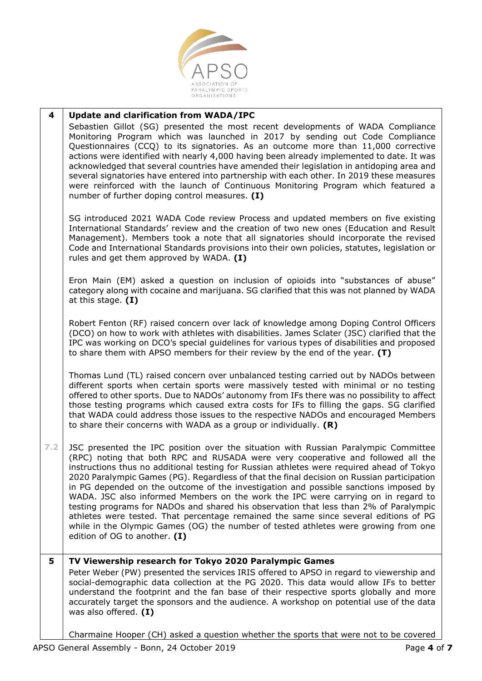

#### **4 Update and clarification from WADA/IPC**

Sebastien Gillot (SG) presented the most recent developments of WADA Compliance Monitoring Program which was launched in 2017 by sending out Code Compliance Questionnaires (CCQ) to its signatories. As an outcome more than 11,000 corrective actions were identified with nearly 4,000 having been already implemented to date. It was acknowledged that several countries have amended their legislation in antidoping area and several signatories have entered into partnership with each other. In 2019 these measures were reinforced with the launch of Continuous Monitoring Program which featured a number of further doping control measures. **(I)**

SG introduced 2021 WADA Code review Process and updated members on five existing International Standards' review and the creation of two new ones (Education and Result Management). Members took a note that all signatories should incorporate the revised Code and International Standards provisions into their own policies, statutes, legislation or rules and get them approved by WADA. **(I)**

Eron Main (EM) asked a question on inclusion of opioids into "substances of abuse" category along with cocaine and marijuana. SG clarified that this was not planned by WADA at this stage. **(I)**

Robert Fenton (RF) raised concern over lack of knowledge among Doping Control Officers (DCO) on how to work with athletes with disabilities. James Sclater (JSC) clarified that the IPC was working on DCO's special guidelines for various types of disabilities and proposed to share them with APSO members for their review by the end of the year. **(T)**

Thomas Lund (TL) raised concern over unbalanced testing carried out by NADOs between different sports when certain sports were massively tested with minimal or no testing offered to other sports. Due to NADOs' autonomy from IFs there was no possibility to affect those testing programs which caused extra costs for IFs to filling the gaps. SG clarified that WADA could address those issues to the respective NADOs and encouraged Members to share their concerns with WADA as a group or individually. **(R)**

**7.2** JSC presented the IPC position over the situation with Russian Paralympic Committee (RPC) noting that both RPC and RUSADA were very cooperative and followed all the instructions thus no additional testing for Russian athletes were required ahead of Tokyo 2020 Paralympic Games (PG). Regardless of that the final decision on Russian participation in PG depended on the outcome of the investigation and possible sanctions imposed by WADA. JSC also informed Members on the work the IPC were carrying on in regard to testing programs for NADOs and shared his observation that less than 2% of Paralympic athletes were tested. That percentage remained the same since several editions of PG while in the Olympic Games (OG) the number of tested athletes were growing from one edition of OG to another. **(I)**

## **5 TV Viewership research for Tokyo 2020 Paralympic Games**

Peter Weber (PW) presented the services IRIS offered to APSO in regard to viewership and social-demographic data collection at the PG 2020. This data would allow IFs to better understand the footprint and the fan base of their respective sports globally and more accurately target the sponsors and the audience. A workshop on potential use of the data was also offered. **(I)**

Charmaine Hooper (CH) asked a question whether the sports that were not to be covered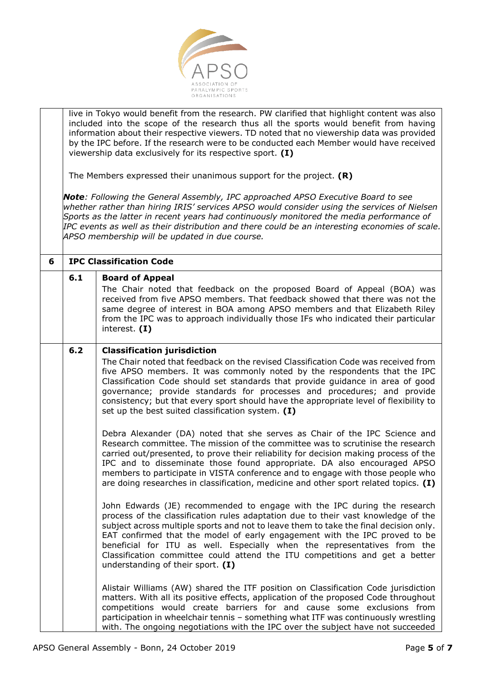

live in Tokyo would benefit from the research. PW clarified that highlight content was also included into the scope of the research thus all the sports would benefit from having information about their respective viewers. TD noted that no viewership data was provided by the IPC before. If the research were to be conducted each Member would have received viewership data exclusively for its respective sport. **(I)**

The Members expressed their unanimous support for the project. **(R)**

*Note: Following the General Assembly, IPC approached APSO Executive Board to see whether rather than hiring IRIS' services APSO would consider using the services of Nielsen Sports as the latter in recent years had continuously monitored the media performance of IPC events as well as their distribution and there could be an interesting economies of scale. APSO membership will be updated in due course.*

| 6 | <b>IPC Classification Code</b> |                                                                                                                                                                                                                                                                                                                                                                                                                                                                                                                                                                                                                                                                                                                  |  |  |
|---|--------------------------------|------------------------------------------------------------------------------------------------------------------------------------------------------------------------------------------------------------------------------------------------------------------------------------------------------------------------------------------------------------------------------------------------------------------------------------------------------------------------------------------------------------------------------------------------------------------------------------------------------------------------------------------------------------------------------------------------------------------|--|--|
|   | 6.1                            | <b>Board of Appeal</b><br>The Chair noted that feedback on the proposed Board of Appeal (BOA) was<br>received from five APSO members. That feedback showed that there was not the<br>same degree of interest in BOA among APSO members and that Elizabeth Riley<br>from the IPC was to approach individually those IFs who indicated their particular<br>interest. $(I)$                                                                                                                                                                                                                                                                                                                                         |  |  |
|   | $6.2$                          | <b>Classification jurisdiction</b><br>The Chair noted that feedback on the revised Classification Code was received from<br>five APSO members. It was commonly noted by the respondents that the IPC<br>Classification Code should set standards that provide guidance in area of good<br>governance; provide standards for processes and procedures; and provide<br>consistency; but that every sport should have the appropriate level of flexibility to<br>set up the best suited classification system. $(I)$                                                                                                                                                                                                |  |  |
|   |                                | Debra Alexander (DA) noted that she serves as Chair of the IPC Science and<br>Research committee. The mission of the committee was to scrutinise the research<br>carried out/presented, to prove their reliability for decision making process of the<br>IPC and to disseminate those found appropriate. DA also encouraged APSO                                                                                                                                                                                                                                                                                                                                                                                 |  |  |
|   |                                | members to participate in VISTA conference and to engage with those people who<br>are doing researches in classification, medicine and other sport related topics. (I)<br>John Edwards (JE) recommended to engage with the IPC during the research<br>process of the classification rules adaptation due to their vast knowledge of the<br>subject across multiple sports and not to leave them to take the final decision only.<br>EAT confirmed that the model of early engagement with the IPC proved to be<br>beneficial for ITU as well. Especially when the representatives from the<br>Classification committee could attend the ITU competitions and get a better<br>understanding of their sport. $(I)$ |  |  |
|   |                                | Alistair Williams (AW) shared the ITF position on Classification Code jurisdiction<br>matters. With all its positive effects, application of the proposed Code throughout<br>competitions would create barriers for and cause some exclusions from<br>participation in wheelchair tennis - something what ITF was continuously wrestling<br>with. The ongoing negotiations with the IPC over the subject have not succeeded                                                                                                                                                                                                                                                                                      |  |  |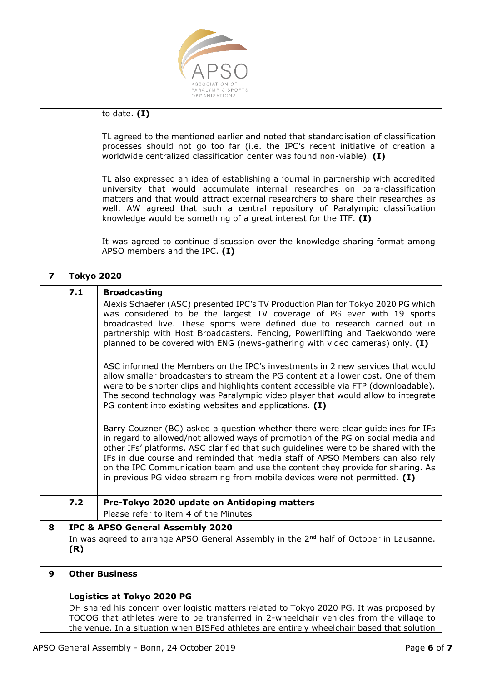

|                         |                                                                                                                                                                                       | to date. $(I)$                                                                                                                                                                                                                                                                                                                                                                                                                                                                                                                                                                                                                                                                                                                                                                                                                                                                                                                                                                                                                                                                                                                                                                                                                                                                                                                                               |  |  |
|-------------------------|---------------------------------------------------------------------------------------------------------------------------------------------------------------------------------------|--------------------------------------------------------------------------------------------------------------------------------------------------------------------------------------------------------------------------------------------------------------------------------------------------------------------------------------------------------------------------------------------------------------------------------------------------------------------------------------------------------------------------------------------------------------------------------------------------------------------------------------------------------------------------------------------------------------------------------------------------------------------------------------------------------------------------------------------------------------------------------------------------------------------------------------------------------------------------------------------------------------------------------------------------------------------------------------------------------------------------------------------------------------------------------------------------------------------------------------------------------------------------------------------------------------------------------------------------------------|--|--|
|                         |                                                                                                                                                                                       |                                                                                                                                                                                                                                                                                                                                                                                                                                                                                                                                                                                                                                                                                                                                                                                                                                                                                                                                                                                                                                                                                                                                                                                                                                                                                                                                                              |  |  |
|                         |                                                                                                                                                                                       | TL agreed to the mentioned earlier and noted that standardisation of classification<br>processes should not go too far (i.e. the IPC's recent initiative of creation a<br>worldwide centralized classification center was found non-viable). (I)                                                                                                                                                                                                                                                                                                                                                                                                                                                                                                                                                                                                                                                                                                                                                                                                                                                                                                                                                                                                                                                                                                             |  |  |
|                         |                                                                                                                                                                                       | TL also expressed an idea of establishing a journal in partnership with accredited<br>university that would accumulate internal researches on para-classification<br>matters and that would attract external researchers to share their researches as<br>well. AW agreed that such a central repository of Paralympic classification<br>knowledge would be something of a great interest for the ITF. $(I)$                                                                                                                                                                                                                                                                                                                                                                                                                                                                                                                                                                                                                                                                                                                                                                                                                                                                                                                                                  |  |  |
|                         |                                                                                                                                                                                       | It was agreed to continue discussion over the knowledge sharing format among<br>APSO members and the IPC. $(I)$                                                                                                                                                                                                                                                                                                                                                                                                                                                                                                                                                                                                                                                                                                                                                                                                                                                                                                                                                                                                                                                                                                                                                                                                                                              |  |  |
| $\overline{\mathbf{z}}$ | <b>Tokyo 2020</b>                                                                                                                                                                     |                                                                                                                                                                                                                                                                                                                                                                                                                                                                                                                                                                                                                                                                                                                                                                                                                                                                                                                                                                                                                                                                                                                                                                                                                                                                                                                                                              |  |  |
|                         | 7.1                                                                                                                                                                                   | <b>Broadcasting</b><br>Alexis Schaefer (ASC) presented IPC's TV Production Plan for Tokyo 2020 PG which<br>was considered to be the largest TV coverage of PG ever with 19 sports<br>broadcasted live. These sports were defined due to research carried out in<br>partnership with Host Broadcasters. Fencing, Powerlifting and Taekwondo were<br>planned to be covered with ENG (news-gathering with video cameras) only. $(I)$<br>ASC informed the Members on the IPC's investments in 2 new services that would<br>allow smaller broadcasters to stream the PG content at a lower cost. One of them<br>were to be shorter clips and highlights content accessible via FTP (downloadable).<br>The second technology was Paralympic video player that would allow to integrate<br>PG content into existing websites and applications. (I)<br>Barry Couzner (BC) asked a question whether there were clear guidelines for IFs<br>in regard to allowed/not allowed ways of promotion of the PG on social media and<br>other IFs' platforms. ASC clarified that such guidelines were to be shared with the<br>IFs in due course and reminded that media staff of APSO Members can also rely<br>on the IPC Communication team and use the content they provide for sharing. As<br>in previous PG video streaming from mobile devices were not permitted. $(I)$ |  |  |
|                         | 7.2                                                                                                                                                                                   | Pre-Tokyo 2020 update on Antidoping matters                                                                                                                                                                                                                                                                                                                                                                                                                                                                                                                                                                                                                                                                                                                                                                                                                                                                                                                                                                                                                                                                                                                                                                                                                                                                                                                  |  |  |
|                         |                                                                                                                                                                                       | Please refer to item 4 of the Minutes                                                                                                                                                                                                                                                                                                                                                                                                                                                                                                                                                                                                                                                                                                                                                                                                                                                                                                                                                                                                                                                                                                                                                                                                                                                                                                                        |  |  |
| 8                       |                                                                                                                                                                                       | IPC & APSO General Assembly 2020                                                                                                                                                                                                                                                                                                                                                                                                                                                                                                                                                                                                                                                                                                                                                                                                                                                                                                                                                                                                                                                                                                                                                                                                                                                                                                                             |  |  |
|                         | In was agreed to arrange APSO General Assembly in the 2 <sup>nd</sup> half of October in Lausanne.<br>(R)                                                                             |                                                                                                                                                                                                                                                                                                                                                                                                                                                                                                                                                                                                                                                                                                                                                                                                                                                                                                                                                                                                                                                                                                                                                                                                                                                                                                                                                              |  |  |
| 9                       |                                                                                                                                                                                       | <b>Other Business</b>                                                                                                                                                                                                                                                                                                                                                                                                                                                                                                                                                                                                                                                                                                                                                                                                                                                                                                                                                                                                                                                                                                                                                                                                                                                                                                                                        |  |  |
|                         |                                                                                                                                                                                       |                                                                                                                                                                                                                                                                                                                                                                                                                                                                                                                                                                                                                                                                                                                                                                                                                                                                                                                                                                                                                                                                                                                                                                                                                                                                                                                                                              |  |  |
|                         |                                                                                                                                                                                       | Logistics at Tokyo 2020 PG                                                                                                                                                                                                                                                                                                                                                                                                                                                                                                                                                                                                                                                                                                                                                                                                                                                                                                                                                                                                                                                                                                                                                                                                                                                                                                                                   |  |  |
|                         | DH shared his concern over logistic matters related to Tokyo 2020 PG. It was proposed by                                                                                              |                                                                                                                                                                                                                                                                                                                                                                                                                                                                                                                                                                                                                                                                                                                                                                                                                                                                                                                                                                                                                                                                                                                                                                                                                                                                                                                                                              |  |  |
|                         | TOCOG that athletes were to be transferred in 2-wheelchair vehicles from the village to<br>the venue. In a situation when BISFed athletes are entirely wheelchair based that solution |                                                                                                                                                                                                                                                                                                                                                                                                                                                                                                                                                                                                                                                                                                                                                                                                                                                                                                                                                                                                                                                                                                                                                                                                                                                                                                                                                              |  |  |